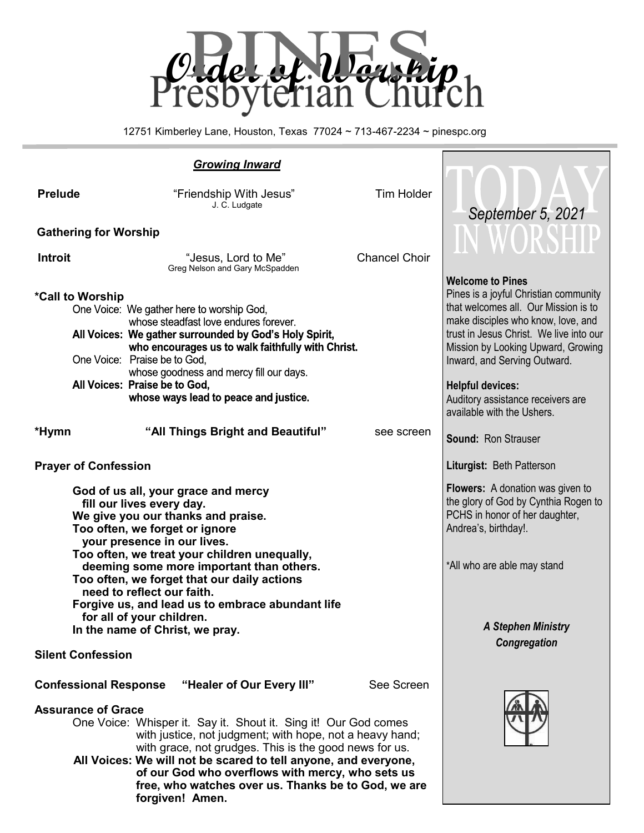

12751 Kimberley Lane, Houston, Texas 77024 ~ 713-467-2234 ~ pinespc.org

|                              | <b>Growing Inward</b>                                                                                                                                                                                                                                                                                                                                                                  |                                                                                                                                    |                                                                               |
|------------------------------|----------------------------------------------------------------------------------------------------------------------------------------------------------------------------------------------------------------------------------------------------------------------------------------------------------------------------------------------------------------------------------------|------------------------------------------------------------------------------------------------------------------------------------|-------------------------------------------------------------------------------|
| <b>Prelude</b>               | "Friendship With Jesus"<br>J. C. Ludgate                                                                                                                                                                                                                                                                                                                                               | <b>Tim Holder</b>                                                                                                                  |                                                                               |
| <b>Gathering for Worship</b> |                                                                                                                                                                                                                                                                                                                                                                                        | September 5, 2021                                                                                                                  |                                                                               |
|                              |                                                                                                                                                                                                                                                                                                                                                                                        |                                                                                                                                    |                                                                               |
| <b>Introit</b>               | "Jesus, Lord to Me"<br>Greg Nelson and Gary McSpadden                                                                                                                                                                                                                                                                                                                                  | <b>Chancel Choir</b>                                                                                                               |                                                                               |
| *Call to Worship             |                                                                                                                                                                                                                                                                                                                                                                                        |                                                                                                                                    | <b>Welcome to Pines</b><br>Pines is a joyful Christian community              |
|                              | One Voice: We gather here to worship God,<br>whose steadfast love endures forever.                                                                                                                                                                                                                                                                                                     |                                                                                                                                    | that welcomes all. Our Mission is to<br>make disciples who know, love, and    |
|                              | All Voices: We gather surrounded by God's Holy Spirit,<br>who encourages us to walk faithfully with Christ.                                                                                                                                                                                                                                                                            |                                                                                                                                    | trust in Jesus Christ. We live into our<br>Mission by Looking Upward, Growing |
|                              | One Voice: Praise be to God,                                                                                                                                                                                                                                                                                                                                                           |                                                                                                                                    | Inward, and Serving Outward.                                                  |
|                              | whose goodness and mercy fill our days.<br>All Voices: Praise be to God,                                                                                                                                                                                                                                                                                                               |                                                                                                                                    | <b>Helpful devices:</b>                                                       |
|                              | whose ways lead to peace and justice.                                                                                                                                                                                                                                                                                                                                                  |                                                                                                                                    | Auditory assistance receivers are<br>available with the Ushers.               |
| *Hymn                        | "All Things Bright and Beautiful"                                                                                                                                                                                                                                                                                                                                                      | see screen                                                                                                                         | Sound: Ron Strauser                                                           |
| <b>Prayer of Confession</b>  |                                                                                                                                                                                                                                                                                                                                                                                        |                                                                                                                                    | Liturgist: Beth Patterson                                                     |
|                              | God of us all, your grace and mercy<br>fill our lives every day.<br>We give you our thanks and praise.<br>Too often, we forget or ignore<br>your presence in our lives.                                                                                                                                                                                                                | Flowers: A donation was given to<br>the glory of God by Cynthia Rogen to<br>PCHS in honor of her daughter,<br>Andrea's, birthday!. |                                                                               |
|                              | Too often, we treat your children unequally,<br>deeming some more important than others.<br>Too often, we forget that our daily actions<br>need to reflect our faith.                                                                                                                                                                                                                  | *All who are able may stand                                                                                                        |                                                                               |
|                              | Forgive us, and lead us to embrace abundant life<br>for all of your children.                                                                                                                                                                                                                                                                                                          |                                                                                                                                    |                                                                               |
|                              | In the name of Christ, we pray.                                                                                                                                                                                                                                                                                                                                                        |                                                                                                                                    | <b>A Stephen Ministry</b>                                                     |
| <b>Silent Confession</b>     |                                                                                                                                                                                                                                                                                                                                                                                        | Congregation                                                                                                                       |                                                                               |
| <b>Confessional Response</b> | "Healer of Our Every III"                                                                                                                                                                                                                                                                                                                                                              |                                                                                                                                    |                                                                               |
| <b>Assurance of Grace</b>    | One Voice: Whisper it. Say it. Shout it. Sing it! Our God comes<br>with justice, not judgment; with hope, not a heavy hand;<br>with grace, not grudges. This is the good news for us.<br>All Voices: We will not be scared to tell anyone, and everyone,<br>of our God who overflows with mercy, who sets us<br>free, who watches over us. Thanks be to God, we are<br>forgiven! Amen. |                                                                                                                                    |                                                                               |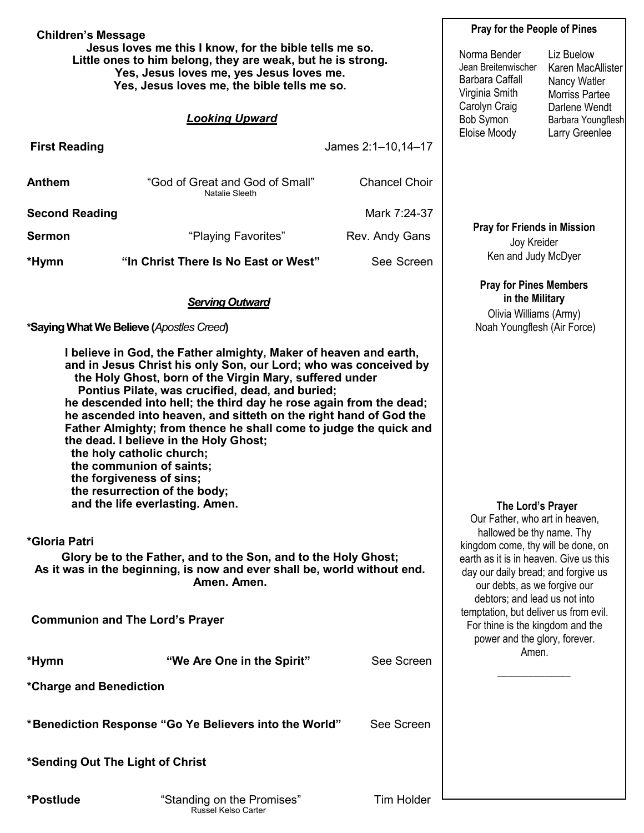| <b>Children's Message</b>                                                                                                                                                                                        |                                                                                                                                                                                                                                                                                                                                                                                                                                                                                                                                                                                                                                                                                                                                                                                                                                                                                | <b>Pray for the People of Pines</b>                                                                                                                                                                                                                                                                                                                                                    |                                                                                                           |                                                                   |  |
|------------------------------------------------------------------------------------------------------------------------------------------------------------------------------------------------------------------|--------------------------------------------------------------------------------------------------------------------------------------------------------------------------------------------------------------------------------------------------------------------------------------------------------------------------------------------------------------------------------------------------------------------------------------------------------------------------------------------------------------------------------------------------------------------------------------------------------------------------------------------------------------------------------------------------------------------------------------------------------------------------------------------------------------------------------------------------------------------------------|----------------------------------------------------------------------------------------------------------------------------------------------------------------------------------------------------------------------------------------------------------------------------------------------------------------------------------------------------------------------------------------|-----------------------------------------------------------------------------------------------------------|-------------------------------------------------------------------|--|
| Jesus loves me this I know, for the bible tells me so.<br>Little ones to him belong, they are weak, but he is strong.<br>Yes, Jesus loves me, yes Jesus loves me.<br>Yes, Jesus loves me, the bible tells me so. |                                                                                                                                                                                                                                                                                                                                                                                                                                                                                                                                                                                                                                                                                                                                                                                                                                                                                |                                                                                                                                                                                                                                                                                                                                                                                        | Norma Bender<br>Jean Breitenwischer<br><b>Barbara Caffall</b><br>Virginia Smith                           | Liz Buelow<br>Karen MacAllister<br>Nancy Watler<br>Morriss Partee |  |
|                                                                                                                                                                                                                  | <b>Looking Upward</b>                                                                                                                                                                                                                                                                                                                                                                                                                                                                                                                                                                                                                                                                                                                                                                                                                                                          |                                                                                                                                                                                                                                                                                                                                                                                        | Carolyn Craig<br>Darlene Wendt<br>Bob Symon<br>Barbara Youngflesh                                         |                                                                   |  |
| <b>First Reading</b>                                                                                                                                                                                             |                                                                                                                                                                                                                                                                                                                                                                                                                                                                                                                                                                                                                                                                                                                                                                                                                                                                                | James 2:1-10,14-17                                                                                                                                                                                                                                                                                                                                                                     | Eloise Moody                                                                                              | Larry Greenlee                                                    |  |
| Anthem                                                                                                                                                                                                           | "God of Great and God of Small"<br>Natalie Sleeth                                                                                                                                                                                                                                                                                                                                                                                                                                                                                                                                                                                                                                                                                                                                                                                                                              | <b>Chancel Choir</b>                                                                                                                                                                                                                                                                                                                                                                   |                                                                                                           |                                                                   |  |
| <b>Second Reading</b>                                                                                                                                                                                            |                                                                                                                                                                                                                                                                                                                                                                                                                                                                                                                                                                                                                                                                                                                                                                                                                                                                                | Mark 7:24-37                                                                                                                                                                                                                                                                                                                                                                           |                                                                                                           |                                                                   |  |
| <b>Sermon</b>                                                                                                                                                                                                    | "Playing Favorites"                                                                                                                                                                                                                                                                                                                                                                                                                                                                                                                                                                                                                                                                                                                                                                                                                                                            | Rev. Andy Gans                                                                                                                                                                                                                                                                                                                                                                         | <b>Pray for Friends in Mission</b><br>Joy Kreider                                                         |                                                                   |  |
| *Hymn                                                                                                                                                                                                            | "In Christ There Is No East or West"                                                                                                                                                                                                                                                                                                                                                                                                                                                                                                                                                                                                                                                                                                                                                                                                                                           | See Screen                                                                                                                                                                                                                                                                                                                                                                             | Ken and Judy McDyer                                                                                       |                                                                   |  |
|                                                                                                                                                                                                                  | <b>Serving Outward</b><br>*Saying What We Believe (Apostles Creed)                                                                                                                                                                                                                                                                                                                                                                                                                                                                                                                                                                                                                                                                                                                                                                                                             |                                                                                                                                                                                                                                                                                                                                                                                        | <b>Pray for Pines Members</b><br>in the Military<br>Olivia Williams (Army)<br>Noah Youngflesh (Air Force) |                                                                   |  |
| *Gloria Patri                                                                                                                                                                                                    | I believe in God, the Father almighty, Maker of heaven and earth,<br>and in Jesus Christ his only Son, our Lord; who was conceived by<br>the Holy Ghost, born of the Virgin Mary, suffered under<br>Pontius Pilate, was crucified, dead, and buried;<br>he descended into hell; the third day he rose again from the dead;<br>he ascended into heaven, and sitteth on the right hand of God the<br>Father Almighty; from thence he shall come to judge the quick and<br>the dead. I believe in the Holy Ghost;<br>the holy catholic church;<br>the communion of saints;<br>the forgiveness of sins;<br>the resurrection of the body;<br>and the life everlasting. Amen.<br>Glory be to the Father, and to the Son, and to the Holy Ghost;<br>As it was in the beginning, is now and ever shall be, world without end.<br>Amen. Amen.<br><b>Communion and The Lord's Prayer</b> | The Lord's Prayer<br>Our Father, who art in heaven,<br>hallowed be thy name. Thy<br>kingdom come, thy will be done, on<br>earth as it is in heaven. Give us this<br>day our daily bread; and forgive us<br>our debts, as we forgive our<br>debtors; and lead us not into<br>temptation, but deliver us from evil.<br>For thine is the kingdom and the<br>power and the glory, forever. |                                                                                                           |                                                                   |  |
| *Hymn                                                                                                                                                                                                            | "We Are One in the Spirit"                                                                                                                                                                                                                                                                                                                                                                                                                                                                                                                                                                                                                                                                                                                                                                                                                                                     | See Screen                                                                                                                                                                                                                                                                                                                                                                             | Amen.                                                                                                     |                                                                   |  |
| *Charge and Benediction                                                                                                                                                                                          |                                                                                                                                                                                                                                                                                                                                                                                                                                                                                                                                                                                                                                                                                                                                                                                                                                                                                |                                                                                                                                                                                                                                                                                                                                                                                        |                                                                                                           |                                                                   |  |
|                                                                                                                                                                                                                  | *Benediction Response "Go Ye Believers into the World"                                                                                                                                                                                                                                                                                                                                                                                                                                                                                                                                                                                                                                                                                                                                                                                                                         | See Screen                                                                                                                                                                                                                                                                                                                                                                             |                                                                                                           |                                                                   |  |
| *Sending Out The Light of Christ                                                                                                                                                                                 |                                                                                                                                                                                                                                                                                                                                                                                                                                                                                                                                                                                                                                                                                                                                                                                                                                                                                |                                                                                                                                                                                                                                                                                                                                                                                        |                                                                                                           |                                                                   |  |
| *Postlude                                                                                                                                                                                                        | "Standing on the Promises"                                                                                                                                                                                                                                                                                                                                                                                                                                                                                                                                                                                                                                                                                                                                                                                                                                                     | <b>Tim Holder</b>                                                                                                                                                                                                                                                                                                                                                                      |                                                                                                           |                                                                   |  |

Russel Kelso Carter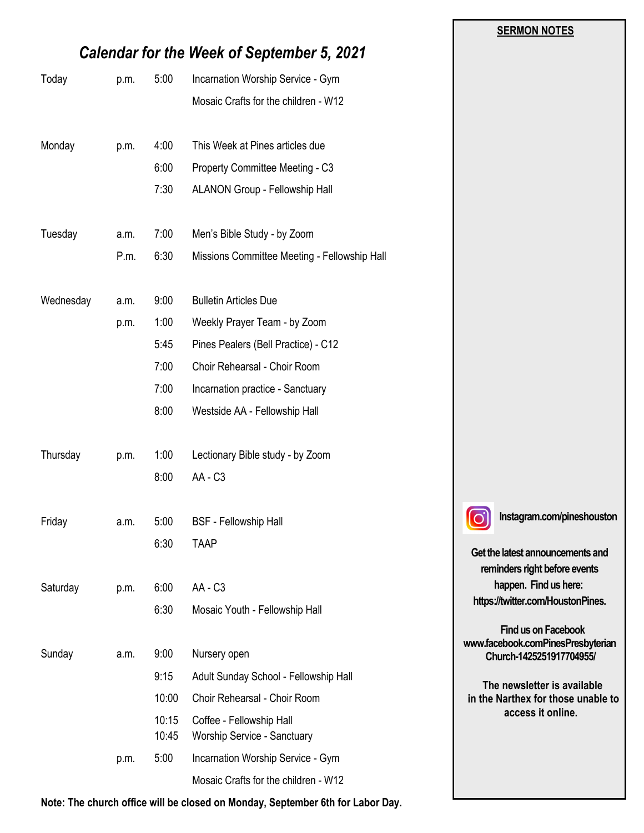|           |                                                   |                |                                                         | <b>SERMON NOTES</b>                                               |
|-----------|---------------------------------------------------|----------------|---------------------------------------------------------|-------------------------------------------------------------------|
|           | <b>Calendar for the Week of September 5, 2021</b> |                |                                                         |                                                                   |
| Today     | p.m.                                              | 5:00           | Incarnation Worship Service - Gym                       |                                                                   |
|           |                                                   |                | Mosaic Crafts for the children - W12                    |                                                                   |
| Monday    | p.m.                                              | 4:00           | This Week at Pines articles due                         |                                                                   |
|           |                                                   | 6:00           | Property Committee Meeting - C3                         |                                                                   |
|           |                                                   | 7:30           | ALANON Group - Fellowship Hall                          |                                                                   |
| Tuesday   | a.m.                                              | 7:00           | Men's Bible Study - by Zoom                             |                                                                   |
|           | P.m.                                              | 6:30           | Missions Committee Meeting - Fellowship Hall            |                                                                   |
| Wednesday | a.m.                                              | 9:00           | <b>Bulletin Articles Due</b>                            |                                                                   |
|           | p.m.                                              | 1:00           | Weekly Prayer Team - by Zoom                            |                                                                   |
|           |                                                   | 5:45           | Pines Pealers (Bell Practice) - C12                     |                                                                   |
|           |                                                   | 7:00           | Choir Rehearsal - Choir Room                            |                                                                   |
|           |                                                   | 7:00           | Incarnation practice - Sanctuary                        |                                                                   |
|           |                                                   | 8:00           | Westside AA - Fellowship Hall                           |                                                                   |
| Thursday  | p.m.                                              | 1:00           | Lectionary Bible study - by Zoom                        |                                                                   |
|           |                                                   | 8:00           | AA - C3                                                 |                                                                   |
| Friday    | a.m.                                              | 5:00           | <b>BSF</b> - Fellowship Hall                            | Instagram.com/pineshouston                                        |
|           |                                                   | 6:30           | <b>TAAP</b>                                             | Get the latest announcements and<br>reminders right before events |
| Saturday  | p.m.                                              | 6:00           | AA - C3                                                 | happen. Find us here:                                             |
|           |                                                   | 6:30           | Mosaic Youth - Fellowship Hall                          | https://twitter.com/HoustonPines.                                 |
|           |                                                   |                |                                                         | <b>Find us on Facebook</b><br>www.facebook.comPinesPresbyterian   |
| Sunday    | a.m.                                              | 9:00           | Nursery open                                            | Church-1425251917704955/                                          |
|           |                                                   | 9:15           | Adult Sunday School - Fellowship Hall                   | The newsletter is available<br>in the Narthex for those unable to |
|           |                                                   | 10:00          | Choir Rehearsal - Choir Room                            |                                                                   |
|           |                                                   | 10:15<br>10:45 | Coffee - Fellowship Hall<br>Worship Service - Sanctuary | access it online.                                                 |
|           | p.m.                                              | 5:00           | Incarnation Worship Service - Gym                       |                                                                   |
|           |                                                   |                | Mosaic Crafts for the children - W12                    |                                                                   |

**Note: The church office will be closed on Monday, September 6th for Labor Day.**